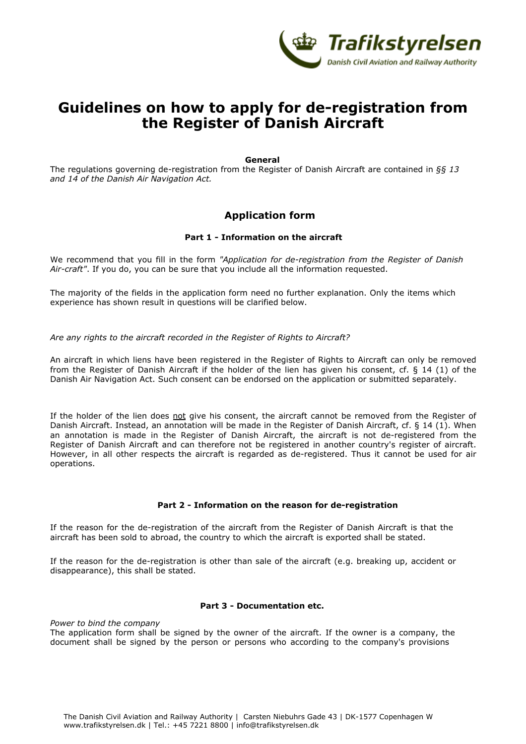

# **Guidelines on how to apply for de-registration from the Register of Danish Aircraft**

#### **General**

The regulations governing de-registration from the Register of Danish Aircraft are contained in *§§ 13 and 14 of the Danish Air Navigation Act.*

## **Application form**

## **Part 1 - Information on the aircraft**

We recommend that you fill in the form *"Application for de-registration from the Register of Danish Air-craft"*. If you do, you can be sure that you include all the information requested.

The majority of the fields in the application form need no further explanation. Only the items which experience has shown result in questions will be clarified below.

#### *Are any rights to the aircraft recorded in the Register of Rights to Aircraft?*

An aircraft in which liens have been registered in the Register of Rights to Aircraft can only be removed from the Register of Danish Aircraft if the holder of the lien has given his consent, cf. § 14 (1) of the Danish Air Navigation Act. Such consent can be endorsed on the application or submitted separately.

If the holder of the lien does not give his consent, the aircraft cannot be removed from the Register of Danish Aircraft. Instead, an annotation will be made in the Register of Danish Aircraft, cf. § 14 (1). When an annotation is made in the Register of Danish Aircraft, the aircraft is not de-registered from the Register of Danish Aircraft and can therefore not be registered in another country's register of aircraft. However, in all other respects the aircraft is regarded as de-registered. Thus it cannot be used for air operations.

#### **Part 2 - Information on the reason for de-registration**

If the reason for the de-registration of the aircraft from the Register of Danish Aircraft is that the aircraft has been sold to abroad, the country to which the aircraft is exported shall be stated.

If the reason for the de-registration is other than sale of the aircraft (e.g. breaking up, accident or disappearance), this shall be stated.

#### **Part 3 - Documentation etc.**

*Power to bind the company* The application form shall be signed by the owner of the aircraft. If the owner is a company, the document shall be signed by the person or persons who according to the company's provisions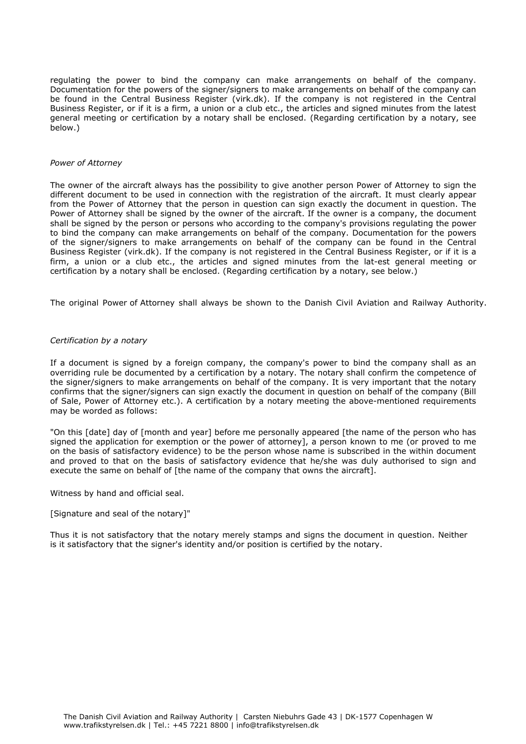regulating the power to bind the company can make arrangements on behalf of the company. Documentation for the powers of the signer/signers to make arrangements on behalf of the company can be found in the Central Business Register (virk.dk). If the company is not registered in the Central Business Register, or if it is a firm, a union or a club etc., the articles and signed minutes from the latest general meeting or certification by a notary shall be enclosed. (Regarding certification by a notary, see below.)

#### *Power of Attorney*

The owner of the aircraft always has the possibility to give another person Power of Attorney to sign the different document to be used in connection with the registration of the aircraft. It must clearly appear from the Power of Attorney that the person in question can sign exactly the document in question. The Power of Attorney shall be signed by the owner of the aircraft. If the owner is a company, the document shall be signed by the person or persons who according to the company's provisions regulating the power to bind the company can make arrangements on behalf of the company. Documentation for the powers of the signer/signers to make arrangements on behalf of the company can be found in the Central Business Register (virk.dk). If the company is not registered in the Central Business Register, or if it is a firm, a union or a club etc., the articles and signed minutes from the lat-est general meeting or certification by a notary shall be enclosed. (Regarding certification by a notary, see below.)

The original Power of Attorney shall always be shown to the Danish Civil Aviation and Railway Authority.

#### *Certification by a notary*

If a document is signed by a foreign company, the company's power to bind the company shall as an overriding rule be documented by a certification by a notary. The notary shall confirm the competence of the signer/signers to make arrangements on behalf of the company. It is very important that the notary confirms that the signer/signers can sign exactly the document in question on behalf of the company (Bill of Sale, Power of Attorney etc.). A certification by a notary meeting the above-mentioned requirements may be worded as follows:

"On this [date] day of [month and year] before me personally appeared [the name of the person who has signed the application for exemption or the power of attorney], a person known to me (or proved to me on the basis of satisfactory evidence) to be the person whose name is subscribed in the within document and proved to that on the basis of satisfactory evidence that he/she was duly authorised to sign and execute the same on behalf of [the name of the company that owns the aircraft].

Witness by hand and official seal.

#### [Signature and seal of the notary]"

Thus it is not satisfactory that the notary merely stamps and signs the document in question. Neither is it satisfactory that the signer's identity and/or position is certified by the notary.